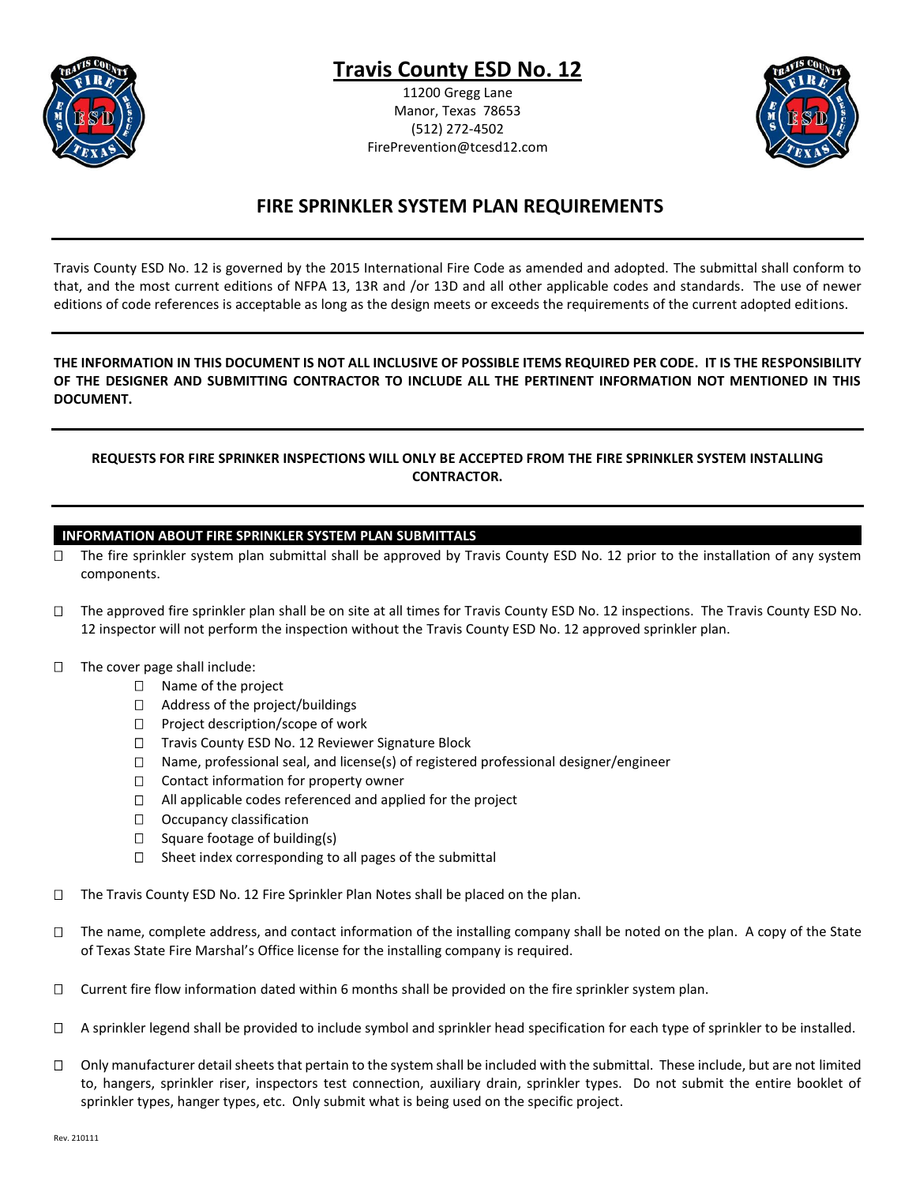

# **Travis County ESD No. 12**

11200 Gregg Lane Manor, Texas 78653 (512) 272-4502 FirePrevention@tcesd12.com



## **FIRE SPRINKLER SYSTEM PLAN REQUIREMENTS**

Travis County ESD No. 12 is governed by the 2015 International Fire Code as amended and adopted. The submittal shall conform to that, and the most current editions of NFPA 13, 13R and /or 13D and all other applicable codes and standards. The use of newer editions of code references is acceptable as long as the design meets or exceeds the requirements of the current adopted editions.

## **THE INFORMATION IN THIS DOCUMENT IS NOT ALL INCLUSIVE OF POSSIBLE ITEMS REQUIRED PER CODE. IT IS THE RESPONSIBILITY OF THE DESIGNER AND SUBMITTING CONTRACTOR TO INCLUDE ALL THE PERTINENT INFORMATION NOT MENTIONED IN THIS DOCUMENT.**

## **REQUESTS FOR FIRE SPRINKER INSPECTIONS WILL ONLY BE ACCEPTED FROM THE FIRE SPRINKLER SYSTEM INSTALLING CONTRACTOR.**

## **INFORMATION ABOUT FIRE SPRINKLER SYSTEM PLAN SUBMITTALS**

- $\Box$  The fire sprinkler system plan submittal shall be approved by Travis County ESD No. 12 prior to the installation of any system components.
- $\Box$  The approved fire sprinkler plan shall be on site at all times for Travis County ESD No. 12 inspections. The Travis County ESD No. 12 inspector will not perform the inspection without the Travis County ESD No. 12 approved sprinkler plan.
- $\Box$  The cover page shall include:
	- □ Name of the project
	- □ Address of the project/buildings
	- $\Box$  Project description/scope of work
	- $\Box$  Travis County ESD No. 12 Reviewer Signature Block
	- $\Box$  Name, professional seal, and license(s) of registered professional designer/engineer
	- $\Box$  Contact information for property owner
	- $\Box$  All applicable codes referenced and applied for the project
	- $\Box$  Occupancy classification
	- $\Box$  Square footage of building(s)
	- $\square$  Sheet index corresponding to all pages of the submittal
- $\Box$  The Travis County ESD No. 12 Fire Sprinkler Plan Notes shall be placed on the plan.
- $\Box$  The name, complete address, and contact information of the installing company shall be noted on the plan. A copy of the State of Texas State Fire Marshal's Office license for the installing company is required.
- $\Box$  Current fire flow information dated within 6 months shall be provided on the fire sprinkler system plan.
- $\Box$  A sprinkler legend shall be provided to include symbol and sprinkler head specification for each type of sprinkler to be installed.
- $\Box$  Only manufacturer detail sheets that pertain to the system shall be included with the submittal. These include, but are not limited to, hangers, sprinkler riser, inspectors test connection, auxiliary drain, sprinkler types. Do not submit the entire booklet of sprinkler types, hanger types, etc. Only submit what is being used on the specific project.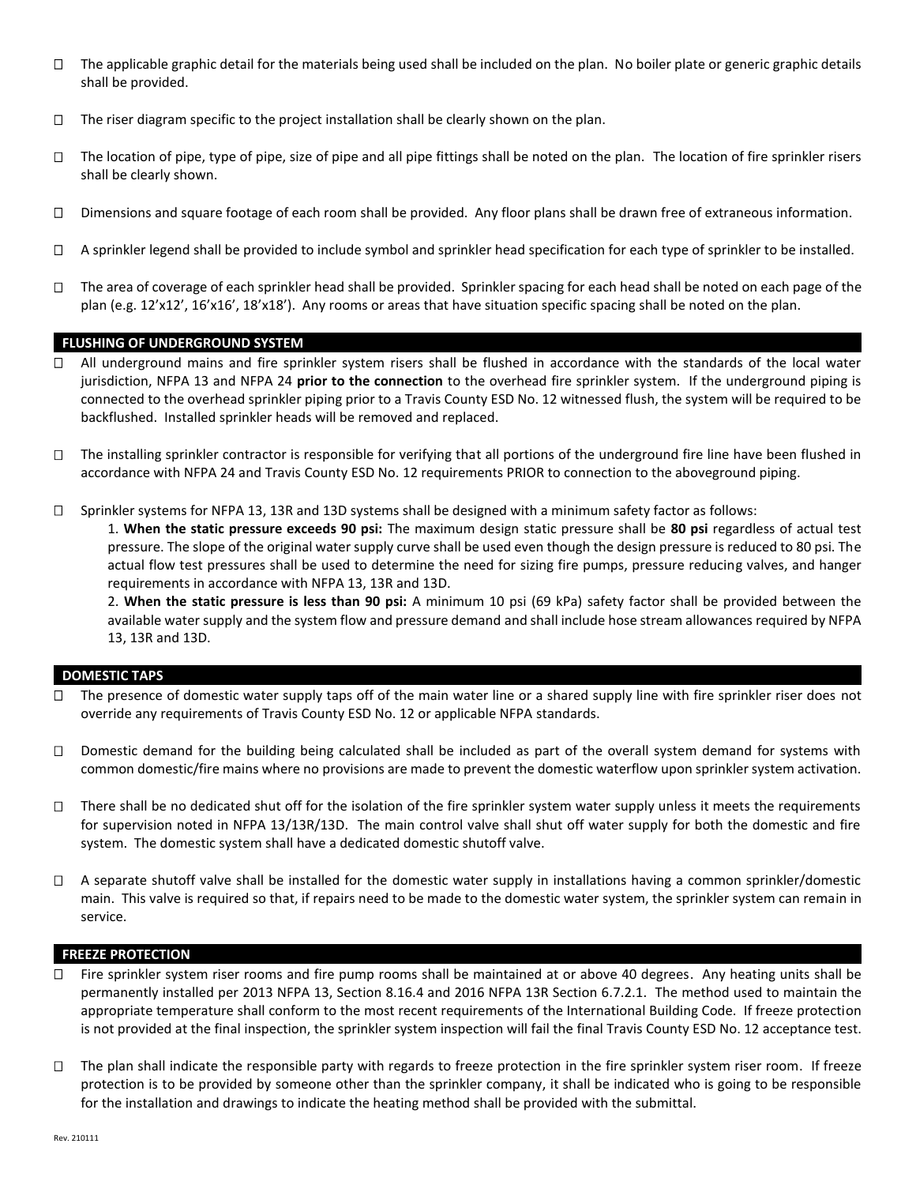- $\Box$  The applicable graphic detail for the materials being used shall be included on the plan. No boiler plate or generic graphic details shall be provided.
- $\Box$  The riser diagram specific to the project installation shall be clearly shown on the plan.
- $\Box$  The location of pipe, type of pipe, size of pipe and all pipe fittings shall be noted on the plan. The location of fire sprinkler risers shall be clearly shown.
- $\Box$  Dimensions and square footage of each room shall be provided. Any floor plans shall be drawn free of extraneous information.
- $\Box$  A sprinkler legend shall be provided to include symbol and sprinkler head specification for each type of sprinkler to be installed.
- $\Box$  The area of coverage of each sprinkler head shall be provided. Sprinkler spacing for each head shall be noted on each page of the plan (e.g. 12'x12', 16'x16', 18'x18'). Any rooms or areas that have situation specific spacing shall be noted on the plan.

#### **FLUSHING OF UNDERGROUND SYSTEM**

- □ All underground mains and fire sprinkler system risers shall be flushed in accordance with the standards of the local water jurisdiction, NFPA 13 and NFPA 24 **prior to the connection** to the overhead fire sprinkler system. If the underground piping is connected to the overhead sprinkler piping prior to a Travis County ESD No. 12 witnessed flush, the system will be required to be backflushed. Installed sprinkler heads will be removed and replaced.
- $\Box$  The installing sprinkler contractor is responsible for verifying that all portions of the underground fire line have been flushed in accordance with NFPA 24 and Travis County ESD No. 12 requirements PRIOR to connection to the aboveground piping.
- □ Sprinkler systems for NFPA 13, 13R and 13D systems shall be designed with a minimum safety factor as follows:

1. **When the static pressure exceeds 90 psi:** The maximum design static pressure shall be **80 psi** regardless of actual test pressure. The slope of the original water supply curve shall be used even though the design pressure is reduced to 80 psi. The actual flow test pressures shall be used to determine the need for sizing fire pumps, pressure reducing valves, and hanger requirements in accordance with NFPA 13, 13R and 13D.

2. **When the static pressure is less than 90 psi:** A minimum 10 psi (69 kPa) safety factor shall be provided between the available water supply and the system flow and pressure demand and shall include hose stream allowances required by NFPA 13, 13R and 13D.

#### **DOMESTIC TAPS**

- $\Box$  The presence of domestic water supply taps off of the main water line or a shared supply line with fire sprinkler riser does not override any requirements of Travis County ESD No. 12 or applicable NFPA standards.
- $\Box$  Domestic demand for the building being calculated shall be included as part of the overall system demand for systems with common domestic/fire mains where no provisions are made to prevent the domestic waterflow upon sprinkler system activation.
- $\Box$  There shall be no dedicated shut off for the isolation of the fire sprinkler system water supply unless it meets the requirements for supervision noted in NFPA 13/13R/13D. The main control valve shall shut off water supply for both the domestic and fire system. The domestic system shall have a dedicated domestic shutoff valve.
- $\Box$  A separate shutoff valve shall be installed for the domestic water supply in installations having a common sprinkler/domestic main. This valve is required so that, if repairs need to be made to the domestic water system, the sprinkler system can remain in service.

#### **FREEZE PROTECTION**

- $\Box$  Fire sprinkler system riser rooms and fire pump rooms shall be maintained at or above 40 degrees. Any heating units shall be permanently installed per 2013 NFPA 13, Section 8.16.4 and 2016 NFPA 13R Section 6.7.2.1. The method used to maintain the appropriate temperature shall conform to the most recent requirements of the International Building Code. If freeze protection is not provided at the final inspection, the sprinkler system inspection will fail the final Travis County ESD No. 12 acceptance test.
- $\Box$  The plan shall indicate the responsible party with regards to freeze protection in the fire sprinkler system riser room. If freeze protection is to be provided by someone other than the sprinkler company, it shall be indicated who is going to be responsible for the installation and drawings to indicate the heating method shall be provided with the submittal.